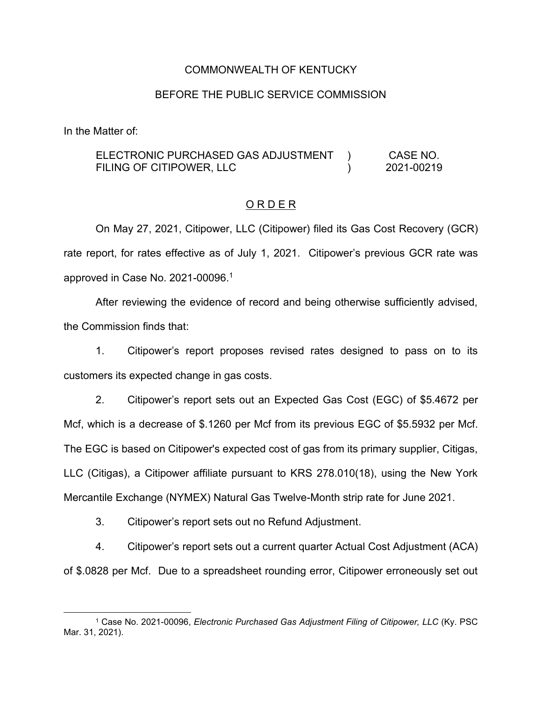### COMMONWEALTH OF KENTUCKY

### BEFORE THE PUBLIC SERVICE COMMISSION

In the Matter of:

#### ELECTRONIC PURCHASED GAS ADJUSTMENT FILING OF CITIPOWER, LLC )  $\lambda$ CASE NO. 2021-00219

## O R D E R

On May 27, 2021, Citipower, LLC (Citipower) filed its Gas Cost Recovery (GCR) rate report, for rates effective as of July 1, 2021. Citipower's previous GCR rate was approved in Case No. 2021-00096. 1

After reviewing the evidence of record and being otherwise sufficiently advised, the Commission finds that:

1. Citipower's report proposes revised rates designed to pass on to its customers its expected change in gas costs.

2. Citipower's report sets out an Expected Gas Cost (EGC) of \$5.4672 per Mcf, which is a decrease of \$.1260 per Mcf from its previous EGC of \$5.5932 per Mcf. The EGC is based on Citipower's expected cost of gas from its primary supplier, Citigas, LLC (Citigas), a Citipower affiliate pursuant to KRS 278.010(18), using the New York Mercantile Exchange (NYMEX) Natural Gas Twelve-Month strip rate for June 2021.

3. Citipower's report sets out no Refund Adjustment.

4. Citipower's report sets out a current quarter Actual Cost Adjustment (ACA) of \$.0828 per Mcf. Due to a spreadsheet rounding error, Citipower erroneously set out

<sup>1</sup> Case No. 2021-00096, *Electronic Purchased Gas Adjustment Filing of Citipower, LLC* (Ky. PSC Mar. 31, 2021).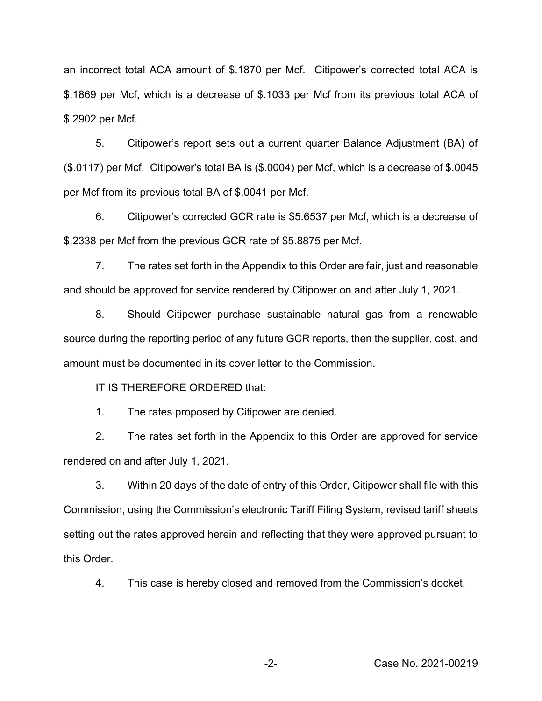an incorrect total ACA amount of \$.1870 per Mcf. Citipower's corrected total ACA is \$.1869 per Mcf, which is a decrease of \$.1033 per Mcf from its previous total ACA of \$.2902 per Mcf.

5. Citipower's report sets out a current quarter Balance Adjustment (BA) of (\$.0117) per Mcf. Citipower's total BA is (\$.0004) per Mcf, which is a decrease of \$.0045 per Mcf from its previous total BA of \$.0041 per Mcf.

6. Citipower's corrected GCR rate is \$5.6537 per Mcf, which is a decrease of \$.2338 per Mcf from the previous GCR rate of \$5.8875 per Mcf.

7. The rates set forth in the Appendix to this Order are fair, just and reasonable and should be approved for service rendered by Citipower on and after July 1, 2021.

8. Should Citipower purchase sustainable natural gas from a renewable source during the reporting period of any future GCR reports, then the supplier, cost, and amount must be documented in its cover letter to the Commission.

IT IS THEREFORE ORDERED that:

1. The rates proposed by Citipower are denied.

2. The rates set forth in the Appendix to this Order are approved for service rendered on and after July 1, 2021.

3. Within 20 days of the date of entry of this Order, Citipower shall file with this Commission, using the Commission's electronic Tariff Filing System, revised tariff sheets setting out the rates approved herein and reflecting that they were approved pursuant to this Order.

4. This case is hereby closed and removed from the Commission's docket.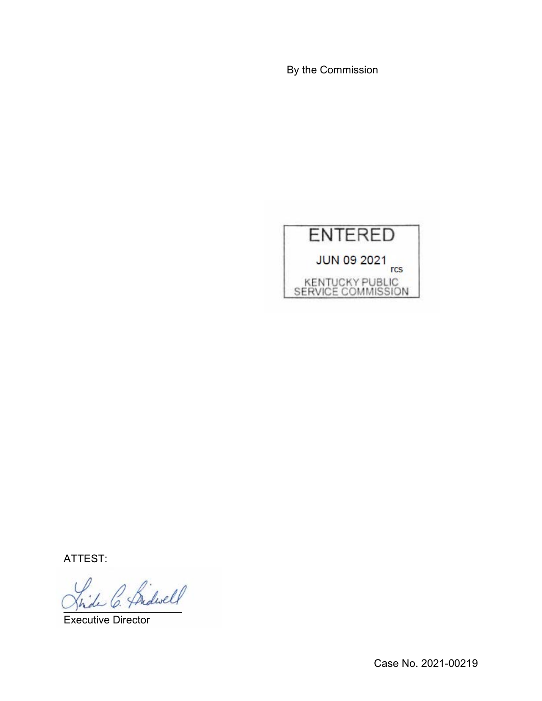By the Commission



ATTEST:

)<br>de C. Bridwell

Executive Director

Case No. 2021-00219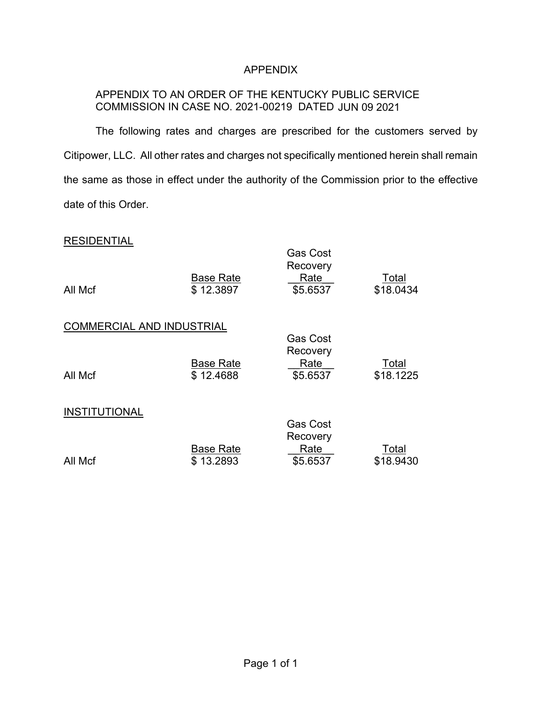# APPENDIX

# APPENDIX TO AN ORDER OF THE KENTUCKY PUBLIC SERVICE COMMISSION IN CASE NO. 2021-00219 DATED JUN 09 2021

The following rates and charges are prescribed for the customers served by Citipower, LLC. All other rates and charges not specifically mentioned herein shall remain the same as those in effect under the authority of the Commission prior to the effective date of this Order.

## **RESIDENTIAL**

| All Mcf                          | <b>Base Rate</b><br>\$12.3897 | <b>Gas Cost</b><br>Recovery<br>Rate<br>\$5.6537 | Total<br>\$18.0434 |
|----------------------------------|-------------------------------|-------------------------------------------------|--------------------|
| <b>COMMERCIAL AND INDUSTRIAL</b> |                               | <b>Gas Cost</b>                                 |                    |
| All Mcf                          | <b>Base Rate</b><br>\$12.4688 | Recovery<br>Rate<br>\$5.6537                    | Total<br>\$18.1225 |
| <b>INSTITUTIONAL</b>             |                               | <b>Gas Cost</b>                                 |                    |
| All Mcf                          | <b>Base Rate</b><br>\$13.2893 | Recovery<br>Rate<br>\$5.6537                    | Total<br>\$18.9430 |